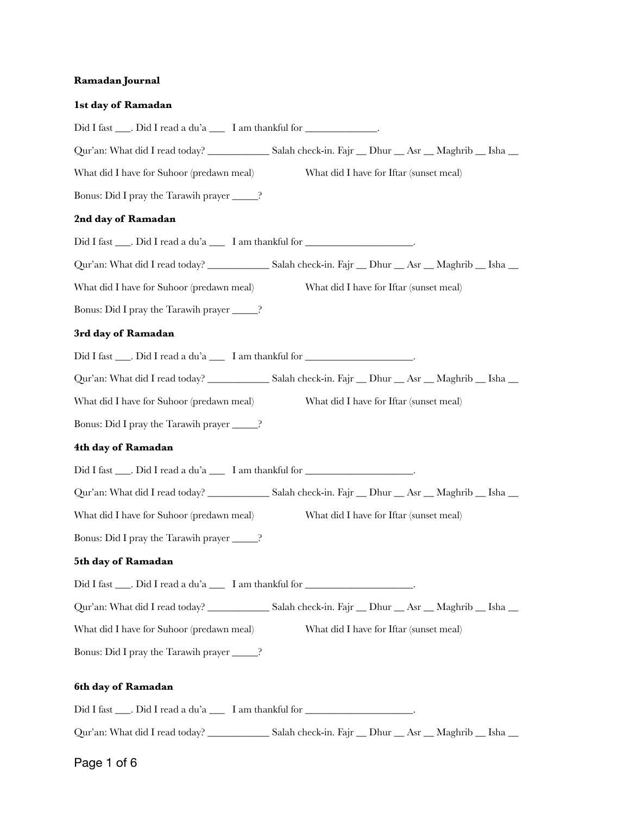## **Ramadan Journal**

| 1st day of Ramadan                                                                   |
|--------------------------------------------------------------------------------------|
| Did I fast ____. Did I read a du'a _____ I am thankful for _______________.          |
|                                                                                      |
| What did I have for Iftar (sunset meal)<br>What did I have for Suhoor (predawn meal) |
| Bonus: Did I pray the Tarawih prayer _____?                                          |
| 2nd day of Ramadan                                                                   |
| Did I fast ____. Did I read a du'a _____ I am thankful for _____________________.    |
|                                                                                      |
| What did I have for Iftar (sunset meal)<br>What did I have for Suhoor (predawn meal) |
| Bonus: Did I pray the Tarawih prayer ______?                                         |
| 3rd day of Ramadan                                                                   |
| Did I fast ____. Did I read a du'a _____ I am thankful for _____________________.    |
|                                                                                      |
| What did I have for Suhoor (predawn meal)<br>What did I have for Iftar (sunset meal) |
| Bonus: Did I pray the Tarawih prayer ______?                                         |
| 4th day of Ramadan                                                                   |
| Did I fast ____. Did I read a du'a _____ I am thankful for _____________________.    |
|                                                                                      |
| What did I have for Iftar (sunset meal)<br>What did I have for Suhoor (predawn meal) |
| Bonus: Did I pray the Tarawih prayer ______?                                         |
| 5th day of Ramadan                                                                   |
| Did I fast ____. Did I read a du'a _____ I am thankful for _____________________.    |
|                                                                                      |
| What did I have for Suhoor (predawn meal)<br>What did I have for Iftar (sunset meal) |
| Bonus: Did I pray the Tarawih prayer _____?                                          |
| 6th day of Ramadan                                                                   |
| Did I fast ____. Did I read a du'a _____ I am thankful for _____________________.    |
|                                                                                      |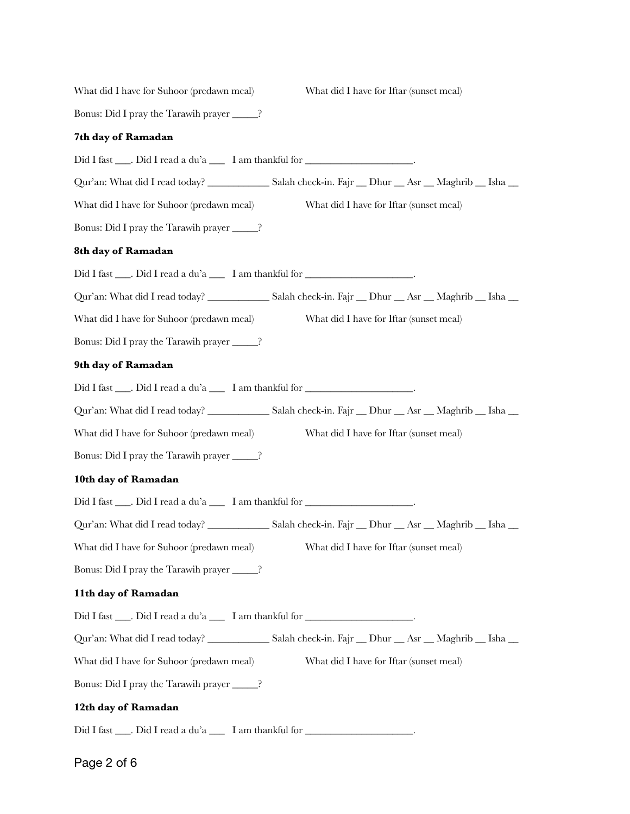| What did I have for Suhoor (predawn meal)                                          | What did I have for Iftar (sunset meal)                                                                          |
|------------------------------------------------------------------------------------|------------------------------------------------------------------------------------------------------------------|
| Bonus: Did I pray the Tarawih prayer ______?                                       |                                                                                                                  |
| 7th day of Ramadan                                                                 |                                                                                                                  |
| Did I fast ____. Did I read a du'a _____ I am thankful for _____________________.  |                                                                                                                  |
|                                                                                    | Qur'an: What did I read today? ___________________Salah check-in. Fajr ___ Dhur ___ Asr ___ Maghrib ___ Isha __  |
| What did I have for Suhoor (predawn meal)                                          | What did I have for Iftar (sunset meal)                                                                          |
| Bonus: Did I pray the Tarawih prayer ______?                                       |                                                                                                                  |
| 8th day of Ramadan                                                                 |                                                                                                                  |
| Did I fast ____. Did I read a du'a _____ I am thankful for ______________________  |                                                                                                                  |
|                                                                                    | Qur'an: What did I read today? ____________________Salah check-in. Fajr ___ Dhur ___ Asr ___ Maghrib ___ Isha __ |
| What did I have for Suhoor (predawn meal)                                          | What did I have for Iftar (sunset meal)                                                                          |
| Bonus: Did I pray the Tarawih prayer ______?                                       |                                                                                                                  |
| 9th day of Ramadan                                                                 |                                                                                                                  |
| Did I fast ____. Did I read a du'a _____ I am thankful for _____________________   |                                                                                                                  |
|                                                                                    | Qur'an: What did I read today? ___________________Salah check-in. Fajr ___ Dhur ___ Asr ___ Maghrib ___ Isha __  |
| What did I have for Suhoor (predawn meal)                                          | What did I have for Iftar (sunset meal)                                                                          |
| Bonus: Did I pray the Tarawih prayer ______?                                       |                                                                                                                  |
| 10th day of Ramadan                                                                |                                                                                                                  |
| Did I fast ____. Did I read a du'a _____ I am thankful for ______________________. |                                                                                                                  |
|                                                                                    | Qur'an: What did I read today? ____________________Salah check-in. Fajr ___ Dhur ___ Asr ___ Maghrib ___ Isha __ |
| What did I have for Suhoor (predawn meal) What did I have for Iftar (sunset meal)  |                                                                                                                  |
| Bonus: Did I pray the Tarawih prayer ______?                                       |                                                                                                                  |
| 11th day of Ramadan                                                                |                                                                                                                  |
| Did I fast ____. Did I read a du'a _____ I am thankful for _____________________.  |                                                                                                                  |
|                                                                                    | Qur'an: What did I read today? ___________________Salah check-in. Fajr ___ Dhur ___ Asr ___ Maghrib ___ Isha __  |
| What did I have for Suhoor (predawn meal)                                          | What did I have for Iftar (sunset meal)                                                                          |
| Bonus: Did I pray the Tarawih prayer ______?                                       |                                                                                                                  |
| 12th day of Ramadan                                                                |                                                                                                                  |
| Did I fast ____. Did I read a du'a _____ I am thankful for _____________________   |                                                                                                                  |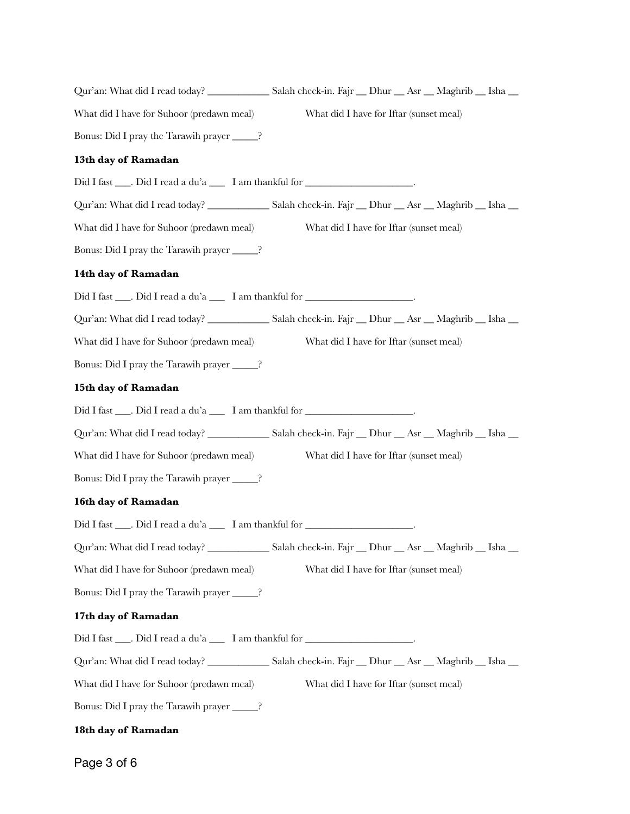| Qur'an: What did I read today? ___________________Salah check-in. Fajr ___ Dhur ___ Asr ___ Maghrib ___ Isha __    |                                         |  |  |
|--------------------------------------------------------------------------------------------------------------------|-----------------------------------------|--|--|
| What did I have for Suhoor (predawn meal)                                                                          | What did I have for Iftar (sunset meal) |  |  |
| Bonus: Did I pray the Tarawih prayer ______?                                                                       |                                         |  |  |
| 13th day of Ramadan                                                                                                |                                         |  |  |
| Did I fast ____. Did I read a du'a _____ I am thankful for _____________________.                                  |                                         |  |  |
| Qur'an: What did I read today? ____________________Salah check-in. Fajr ___ Dhur ___ Asr ___ Maghrib ___ Isha __   |                                         |  |  |
| What did I have for Suhoor (predawn meal)                                                                          | What did I have for Iftar (sunset meal) |  |  |
| Bonus: Did I pray the Tarawih prayer ______?                                                                       |                                         |  |  |
| 14th day of Ramadan                                                                                                |                                         |  |  |
| Did I fast ____. Did I read a du'a _____ I am thankful for ______________________.                                 |                                         |  |  |
| Qur'an: What did I read today? ____________________Salah check-in. Fajr ___ Dhur ___ Asr ___ Maghrib ___ Isha __   |                                         |  |  |
| What did I have for Suhoor (predawn meal)                                                                          | What did I have for Iftar (sunset meal) |  |  |
| Bonus: Did I pray the Tarawih prayer ______?                                                                       |                                         |  |  |
| 15th day of Ramadan                                                                                                |                                         |  |  |
| Did I fast ____. Did I read a du'a _____ I am thankful for _____________________.                                  |                                         |  |  |
| Qur'an: What did I read today? _____________________Salah check-in. Fajr ___ Dhur ___ Asr ___ Maghrib ___ Isha ___ |                                         |  |  |
| What did I have for Suhoor (predawn meal)                                                                          | What did I have for Iftar (sunset meal) |  |  |
| Bonus: Did I pray the Tarawih prayer ______?                                                                       |                                         |  |  |
| 16th day of Ramadan                                                                                                |                                         |  |  |
| Did I fast ____. Did I read a du'a _____ I am thankful for _____________________                                   |                                         |  |  |
| Qur'an: What did I read today? ____________________Salah check-in. Fajr ___ Dhur ___ Asr ___ Maghrib ___ Isha __   |                                         |  |  |
| What did I have for Suhoor (predawn meal)                                                                          | What did I have for Iftar (sunset meal) |  |  |
| Bonus: Did I pray the Tarawih prayer ______?                                                                       |                                         |  |  |
| 17th day of Ramadan                                                                                                |                                         |  |  |
| Did I fast ____. Did I read a du'a _____ I am thankful for _____________________.                                  |                                         |  |  |
|                                                                                                                    |                                         |  |  |
| What did I have for Suhoor (predawn meal)                                                                          | What did I have for Iftar (sunset meal) |  |  |
| Bonus: Did I pray the Tarawih prayer ______?                                                                       |                                         |  |  |
| 18th day of Ramadan                                                                                                |                                         |  |  |

Page 3 of 6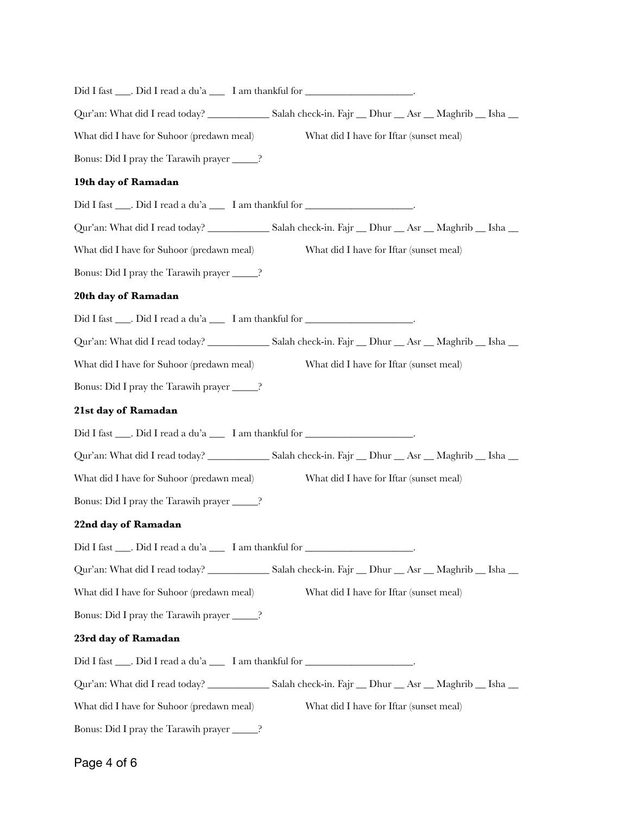| Did I fast ____. Did I read a du'a _____ I am thankful for _____________________  |                                                                                                                  |
|-----------------------------------------------------------------------------------|------------------------------------------------------------------------------------------------------------------|
|                                                                                   | Qur'an: What did I read today? ____________________Salah check-in. Fajr ___ Dhur ___ Asr ___ Maghrib ___ Isha __ |
| What did I have for Suhoor (predawn meal)                                         | What did I have for Iftar (sunset meal)                                                                          |
| Bonus: Did I pray the Tarawih prayer _____?                                       |                                                                                                                  |
| 19th day of Ramadan                                                               |                                                                                                                  |
| Did I fast ____. Did I read a du'a _____ I am thankful for _____________________  |                                                                                                                  |
|                                                                                   |                                                                                                                  |
| What did I have for Suhoor (predawn meal)                                         | What did I have for Iftar (sunset meal)                                                                          |
| Bonus: Did I pray the Tarawih prayer ______?                                      |                                                                                                                  |
| 20th day of Ramadan                                                               |                                                                                                                  |
| Did I fast ____. Did I read a du'a _____ I am thankful for _____________________. |                                                                                                                  |
|                                                                                   |                                                                                                                  |
| What did I have for Suhoor (predawn meal)                                         | What did I have for Iftar (sunset meal)                                                                          |
| Bonus: Did I pray the Tarawih prayer ______?                                      |                                                                                                                  |
| 21st day of Ramadan                                                               |                                                                                                                  |
| Did I fast ____. Did I read a du'a _____ I am thankful for _____________________. |                                                                                                                  |
|                                                                                   | Qur'an: What did I read today? ____________________Salah check-in. Fajr ___ Dhur ___ Asr ___ Maghrib ___ Isha __ |
| What did I have for Suhoor (predawn meal)                                         | What did I have for Iftar (sunset meal)                                                                          |
| Bonus: Did I pray the Tarawih prayer ______?                                      |                                                                                                                  |
| 22nd day of Ramadan                                                               |                                                                                                                  |
| Did I fast ____. Did I read a du'a _____ I am thankful for _____________________  |                                                                                                                  |
|                                                                                   |                                                                                                                  |
| What did I have for Suhoor (predawn meal)                                         | What did I have for Iftar (sunset meal)                                                                          |
| Bonus: Did I pray the Tarawih prayer _____?                                       |                                                                                                                  |
| 23rd day of Ramadan                                                               |                                                                                                                  |
| Did I fast ____. Did I read a du'a _____ I am thankful for _____________________. |                                                                                                                  |
|                                                                                   |                                                                                                                  |
| What did I have for Suhoor (predawn meal)                                         | What did I have for Iftar (sunset meal)                                                                          |
| Bonus: Did I pray the Tarawih prayer ______?                                      |                                                                                                                  |
|                                                                                   |                                                                                                                  |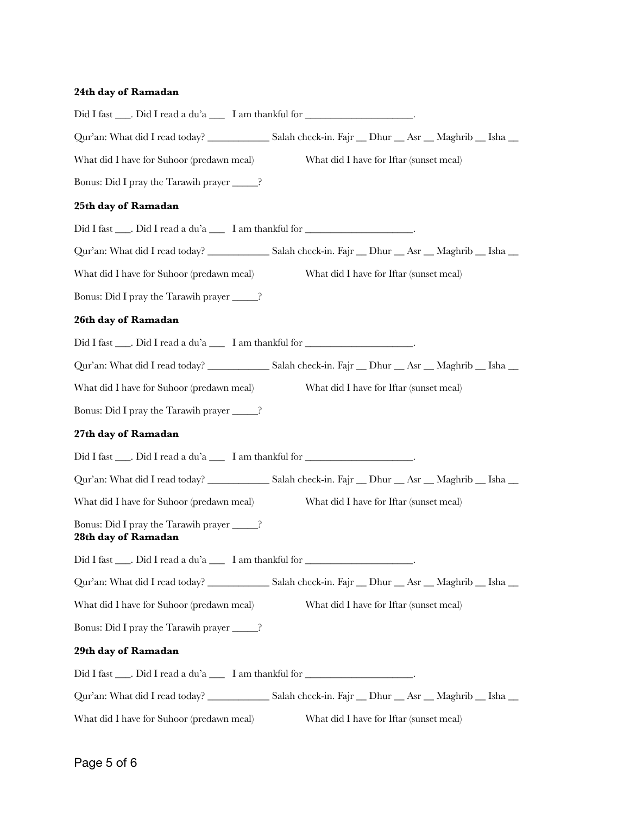## **24th day of Ramadan**

| Did I fast ____. Did I read a du'a _____ I am thankful for _____________________   |                                         |  |  |
|------------------------------------------------------------------------------------|-----------------------------------------|--|--|
|                                                                                    |                                         |  |  |
| What did I have for Suhoor (predawn meal)                                          | What did I have for Iftar (sunset meal) |  |  |
| Bonus: Did I pray the Tarawih prayer ______?                                       |                                         |  |  |
| 25th day of Ramadan                                                                |                                         |  |  |
| Did I fast ____. Did I read a du'a _____ I am thankful for _____________________   |                                         |  |  |
|                                                                                    |                                         |  |  |
| What did I have for Suhoor (predawn meal)                                          | What did I have for Iftar (sunset meal) |  |  |
| Bonus: Did I pray the Tarawih prayer ______?                                       |                                         |  |  |
| 26th day of Ramadan                                                                |                                         |  |  |
| Did I fast ____. Did I read a du'a _____ I am thankful for ______________________. |                                         |  |  |
|                                                                                    |                                         |  |  |
| What did I have for Suhoor (predawn meal)                                          | What did I have for Iftar (sunset meal) |  |  |
| Bonus: Did I pray the Tarawih prayer ______?                                       |                                         |  |  |
| 27th day of Ramadan                                                                |                                         |  |  |
| Did I fast ____. Did I read a du'a _____ I am thankful for _____________________.  |                                         |  |  |
|                                                                                    |                                         |  |  |
| What did I have for Suhoor (predawn meal)                                          | What did I have for Iftar (sunset meal) |  |  |
| Bonus: Did I pray the Tarawih prayer ______?<br>28th day of Ramadan                |                                         |  |  |
| Did I fast ____. Did I read a du'a _____ I am thankful for _____________________   |                                         |  |  |
|                                                                                    |                                         |  |  |
| What did I have for Suhoor (predawn meal)                                          | What did I have for Iftar (sunset meal) |  |  |
| Bonus: Did I pray the Tarawih prayer ______?                                       |                                         |  |  |
| 29th day of Ramadan                                                                |                                         |  |  |
| Did I fast ____. Did I read a du'a _____ I am thankful for ______________________. |                                         |  |  |
|                                                                                    |                                         |  |  |
| What did I have for Suhoor (predawn meal)                                          | What did I have for Iftar (sunset meal) |  |  |